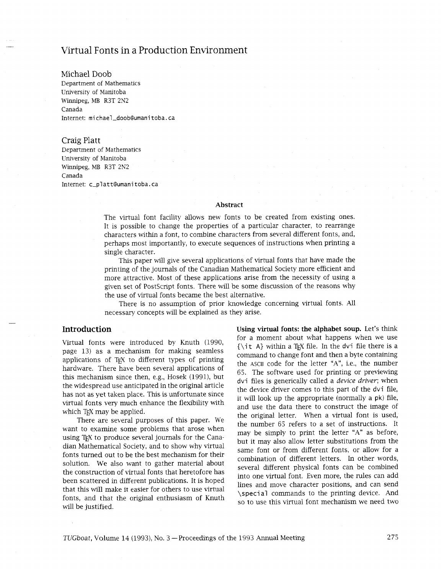# Virtual Fonts in a Production Environment

Michael Doob Department of Mathematics University of Manitoba Winnipeg, MB R3T 2N2 Canada Internet: mi chael-doob@umani toba. ca

#### Craig Platt

Department of Mathematics University of Manitoba Winnipeg, MB R3T 2N2 Canada Internet: c\_platt@umanitoba.ca

#### **Abstract**

The virtual font facility allows new fonts to be created from existing ones. It is possible to change the properties of a particular character, to rearrange characters within a font, to combine characters from several different fonts, and, perhaps most importantly, to execute sequences of instructions when printing a single character.

This paper will give several applications of virtual fonts that have made the printing of the journals of the Canadian Mathematical Society more efficient and more attractive. Most of these applications arise from the necessity of using a given set of Postscript fonts. There will be some discussion of the reasons why the use of virtual fonts became the best alternative.

There is no assumption of prior knowledge concerning virtual fonts. All necessary concepts will be explained as they arise.

### **Introduction**

Virtual fonts were introduced by Knuth (1990, page 13) as a mechanism for making seamless applications of T<sub>F</sub>X to different types of printing hardware. There have been several applications of this mechanism since then, e.g., Hosek  $(1991)$ , but the widespread use anticipated in the original article has not as yet taken place. This is unfortunate since virtual fonts very much enhance the flexibility with which T<sub>EX</sub> may be applied.

There are several purposes of this paper. We want to examine some problems that arose when using T<sub>F</sub>X to produce several journals for the Canadian Mathematical Society, and to show why virtual fonts turned out to be the best mechanism for their solution. We also want to gather material about the construction of virtual fonts that heretofore has been scattered in different publications. It is hoped that this will make it easier for others to use virtual fonts, and that the original enthusiasm of Knuth will be justified.

**Using virtual fonts: the alphabet soup.** Let's think for a moment about what happens when we use  ${\tilde{\lambda}}$  { $\tilde{\lambda}$ } within a T<sub>F</sub>X file. In the dvi file there is a command to change font and then a byte containing the ASCII code for the letter "A", i.e., the number 65. The software used for printing or previewing dvi files is generically called a *device driver;* when the device driver comes to ths part of the dvi file, it will look up the appropriate (normally a pk) file, and use the data there to construct the image of the original letter. When a virtual font is used, the number 65 refers to a set of instructions. It may be simply to print the letter "A" as before, but it may also allow letter substitutions from the same font or from different fonts, or allow for a combination of different letters. In other words, several different physical fonts can be combined into one virtual font. Even more, the rules can add lines and move character positions, and can send \speci a1 commands to the printing device. And so to use this virtual font mechanism we need two

TUGboat, Volume 14 (1993), No. 3 - Proceedings of the 1993 Annual Meeting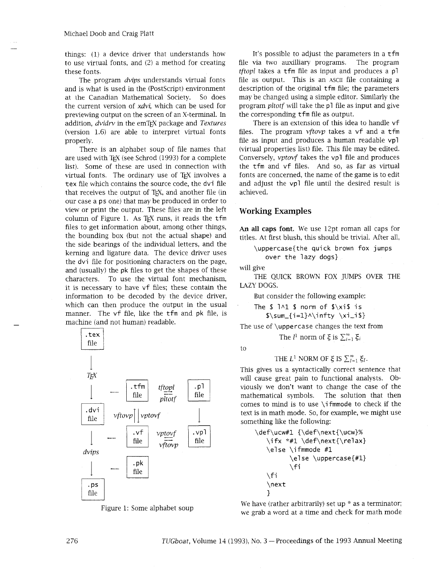things: (1) a device driver that understands how to use virtual fonts, and (2) a method for creating these fonts.

The program *dvips* understands virtual fonts and is what is used in the (PostScript) environment at the Canadian Mathematical Society. So does the current version of *xdvi*, which can be used for previewing output on the screen of an X-terminal. In addition, *dvidrv* in the emT<sub>F</sub>X package and *Textures* (version 1.6) are able to interpret virtual fonts properly.

There is an alphabet soup of file names that are used with TEX (see Schrod (1993) for a complete list). Some of these are used in connection with virtual fonts. The ordinary use of TEX involves a tex file which contains the source code, the dvi file that receives the output of T<sub>F</sub>X, and another file (in our case a ps one) that may be produced in order to view or print the output. These files are in the left column of Figure 1. As  $TFX$  runs, it reads the  $tfm$ files to get information about, among other things, the bounding box (but not the actual shape) and the side bearings of the individual letters, and the kerning and ligature data. The device driver uses the dvi file for positioning characters on the page, and (usually) the pk files to get the shapes of these characters. To use the virtual font mechanism, it is necessary to have vf files; these contain the information to be decoded by the device driver, which can then produce the output in the usual manner. The vf file, like the tfm and pk file, is machine (and not human) readable.



Figure 1: Some alphabet soup

It's possible to adjust the parameters in a tfm file via two auxilliary programs. The program *tftopI* takes a tfm file as input and produces a pl file as output. This is an ASCII file containing a description of the original tfm file; the parameters may be changed using a simple editor. Similarly the program *pltotf* will take the pl file as input and give the corresponding tfm file as output.

There is an extension of this idea to handle vf files. The program *vftovp* takes a vf and a tfm file as input and produces a human readable vpl (virtual properties list) file. This file may be edited. Conversely, *vptovf* takes the vpl file and produces the tfm and vf files. And so, as far as virtual fonts are concerned, the name of the game is to edit and adjust the vpl file until the desired result is achieved.

### **Working Examples**

**An all caps font.** We use 12pt roman all caps for titles. At first blush, this should be trivial. After all,

\uppercase{the quick brown fox jumps over the lazy dogs}

will give

THE QUICK BROWN FOX JUMPS OVER THE LAZY DOGS.

But consider the following example:

The  $$1^1$$   $$1^1$$  norm of  $$x$$ is is

 $\sum_{i=1}^{\infty} \xi_{1}$ 

The use of \uppercase changes the text from

The *l*<sup>1</sup> norm of  $\xi$  is  $\sum_{i=1}^{\infty} \xi_i$ 

to

THE  $L^1$  NORM OF  $\xi$  is  $\sum_{l=1}^{\infty} \xi_l$ .

This gives us a syntactically correct sentence that will cause great pain to functional analysts. Obviously we don't want to change the case of the mathematical symbols. The solution that then comes to mind is to use \ifmmode to check if the text is in math mode. So, for example, we might use something like the following:

```
\def\ucw#1 {\def\next{\ucw}%
\ifx *#1 \def\next{\relax}
\else \ifmmode #1 
       \else \uppercase{#l} 
       \sqrt{f}\fi 
\next 
1
```
We have (rather arbitrarily) set up  $*$  as a terminator; we grab a word at a time and check for math mode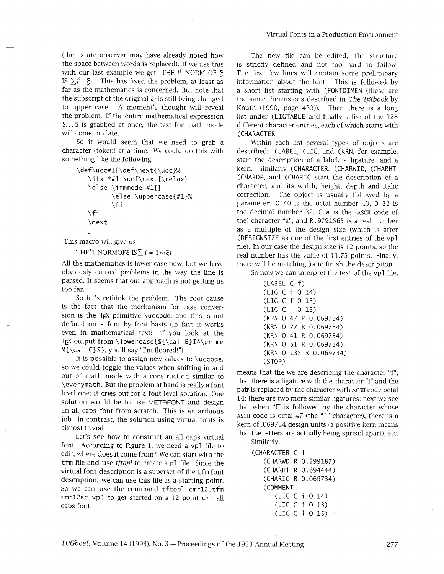(the astute observer may have already noted how the space between words is replaced). If we use this with our last example we get THE  $l^1$  NORM OF  $\xi$ IS  $\sum_{i=1}^{\infty} \xi_i$  This has fixed the problem, at least as far as the mathematics is concerned. But note that the subscript of the original  $\xi_i$  is still being changed to upper case. A moment's thought will reveal the problem. If the entire mathematical expression **\$...\$** is grabbed at once, the test for math mode

will come too late.

So it would seem that we need to grab a character (token) at a time. We could do this with something like the following:

```
\def\ucc#l{\def\next{\ucc}% 
 \ifmmode{\n3}\else{ \tifx *#1 \def\next{\relax}
 \else \ifmmode #I{} 
          \else \uppercase{#l}% 
          \setminusfi
 \setminusfi
 \next 
 1
```
This macro will give us

THE/1 NORMOFE IS $\sum i = 1 \in \mathcal{E}$  i

All the mathematics is lower case now, but we have obviously caused problems in the way the line is parsed. It seems that our approach is not getting us too far.

So let's rethink the problem. The root cause is the fact that the mechanism for case conversion is the TEX primitive  $\ucceq$  code, and this is not defined on a font by font basis (in fact it works even in mathematical text: if you look at the TEX output from \lowercase{\${\cal B}I^\prime M{\cal C3\$}, you'll say "I'm floored!").

It is possible to assign new values to \uccode, so we could toggle the values when shifting in and out of math mode with a construction similar to \everymath. But the problem at hand is really a font level one; it cries out for a font level solution. One solution would be to use METAFONT and design an all caps font from scratch. This is an arduous job. In contrast, the solution using virtual fonts is almost trivial.

Let's see how to construct an all caps virtual font. According to Figure 1, we need a vpl file to edit; where does it come from? We can start with the tfm file and use *tftopl* to create a pl file. Since the virtual font description is a superset of the tfm font description, we can use this file as a starting point. So we can use the command tftopl cmrl2. tfm cmrl2ac. vpl to get started on a 12 point cmr all caps font.

The new file can be edited; the structure is strictly defined and not too hard to follow. The first few lines will contain some preliminary information about the font. This is followed by a short list starting with (FONTDIMEN (these are the same dimensions described in *The T<sub>F</sub>Xbook* by Knuth (1990, page 433)). Then there is a long list under (LIGTABLE and finally a list of the 128 different character entries, each of which starts with (CHARACTER.

Within each list several types of objects are described: (LABEL, (LIG, and (KRN, for example, start the description of a label, a ligature, and a kern. Similarly (CHARACTER, (CHARWID, (CHARHT, (CHARDP, and (CHARIC start the description of a character, and its width, height, depth and italic correction. The object is usually followed by a parameter: 0 40 is the octal number 40, D 32 is the decimal number 32, C a is the (ASCII code of the) character "a", and R. 9791565 is a real number as a multiple of the design size (which is after (DESIGNSIZE as one of the first entries of the vpl file). In our case the design size is 12 points, so the real number has the value of 11.75 points. Finally, there will be matching )s to finish the description.

So now we can interpret the text of the vpl file:

| (LABEL C f) |                        |
|-------------|------------------------|
|             | (LIG C i 0 14)         |
|             | (LIG C f 0 13)         |
|             | (LIG C 1 0 15)         |
|             | (KRN 0 47 R 0.069734)  |
|             | (KRN 0 77 R 0.069734)  |
|             | (KRN 0 41 R 0.069734)  |
|             | (KRN 0 51 R 0.069734)  |
|             | (KRN O 135 R 0.069734) |
| (STOP)      |                        |

means that the we are describing the character "f", that there is a ligature with the character "i" and the pair is replaced by the character with ACSII code octal 14; there are two more similar ligatures; next we see that when "f" is followed by the character whose ASCII code is octal 47 (the "'" character), there is a kern of .069734 design units (a positive kern means that the letters are actually being spread apart), etc. Similarly,

```
(CHARACTER C f
(CHARWD R 0.299187) 
(CHARHT R 0.694444) 
(CHARIC R 0.069734) 
(COMMENT 
   (LIG C i 0 14) 
   (LIC C f 0 13) 
   (LIC C 1 0 15)
```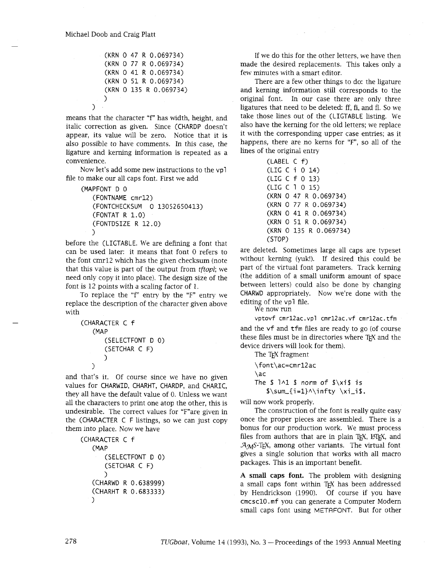$\lambda$ 

(KRN 0 47 R 0.069734) (KRN 0 77 R 0.069734) (KRN 0 41 R 0.069734) (KRN 0 51 R 0.069734) (KRN 0 135 R 0.069734) 1

means that the character "f" has width, height, and italic correction as given. Since (CHARDP doesn't appear, its value will be zero. Notice that it is also possible to have comments. In this case, the ligature and kerning information is repeated as a convenience.

Now let's add some new instructions to the vpl file to make our all caps font. First we add

```
(MAPFONT D 0 
(FONTNAME cmrl2) 
(FONTCHECKSUM 0 13052650413) 
(FONTAT R 1.0) 
(FONTDSIZE R 12.0) 
\lambda
```
before the (LIGTABLE. We are defining a font that can be used later: it means that font 0 refers to the font cmr12 which has the given checksum (note that this value is part of the output from *tftopl;* we need only copy it into place). The design size of the font is 12 points with a scaling factor of 1.

To replace the "f" entry by the "F" entry we replace the description of the character given above with

```
(CHARACTER C f 
 (MAP 
     (SELECTFONT D 0) 
     (SETCHAR C F) 
    1 
\lambda
```
and that's it. Of course since we have no given values for CHARWID, CHARHT, CHARDP, and CHARIC, they all have the default value of 0. Unless we want all the characters to print one atop the other, this is undesirable. The correct values for "F"are given in the (CHARACTER C F listings, so we can just copy them into place. Now we have

```
(CHARACTER C f 
(MAP 
     (SELECTFONT D 0) 
     (SETCHAR C F) 
    \mathcal{L}(CHARWD R 0.638999) 
(CHARHT R 0.683 3 3 3) 
)
```
If we do this for the other letters, we have then made the desired replacements. This takes only a few minutes with a smart editor.

There are a few other things to do: the ligature and kerning information still corresponds to the original font. In our case there are only three ligatures that need to be deleted: ff, fi, and fl. So we take those lines out of the (LIGTABLE listing. We also have the kerning for the old letters; we replace it with the corresponding upper case entries; as it happens, there are no kerns for "F", so all of the lines of the original entry

| (LABEL C f) |  |                        |  |  |  |
|-------------|--|------------------------|--|--|--|
|             |  | (LIG C i 0 14)         |  |  |  |
|             |  | (LIG C f 0 13)         |  |  |  |
|             |  | (LIG C 1 0 15)         |  |  |  |
|             |  | (KRN O 47 R 0.069734)  |  |  |  |
|             |  | (KRN O 77 R 0.069734)  |  |  |  |
|             |  | (KRN 0 41 R 0.069734)  |  |  |  |
|             |  | (KRN O 51 R 0.069734)  |  |  |  |
|             |  | (KRN O 135 R 0.069734) |  |  |  |
| (STOP)      |  |                        |  |  |  |

are deleted. Sometimes large all caps are typeset without kerning (yuk!). If desired this could be part of the virtual font parameters. Track kerning (the addition of a small uniform amount of space between letters) could also be done by changing CHARWD appropriately. Now we're done with the editing of the vpl file.

We now run

**vptovf cmrl2ac.vpl cmrl2ac.vf cmrl2ac.tfm**  and the vf and tfm files are ready to go (of course these files must be in directories where T<sub>E</sub>X and the device drivers will look for them).

The T<sub>F</sub>X fragment

\font\ac=cmrl2ac \ac The  $$1^1$$  \$ norm of  $\sqrt[5]{x}$  is  $\sum_{i=1}^{\infty}$  \xi\_i\$.

will now work properly.

The construction of the font is really quite easy once the proper pieces are assembled. There is a bonus for our production work. We must process files from authors that are in plain TEX, LATEX, and  $A<sub>M</sub>S-T<sub>E</sub>X$ , among other variants. The virtual font gives a single solution that works with all macro packages. This is an important benefit.

**A small caps font.** The problem with designing a small caps font within TEX has been addressed by Hendrickson (1990). Of course if you have cmcscl0. mf you can generate a Computer Modern small caps font using METAFONT. But for other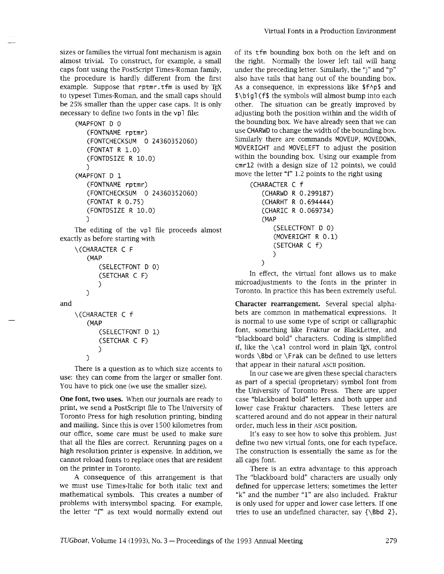sizes or families the virtual font mechanism is again almost trivial. To construct, for example, a small caps font using the Postscript Times-Roman family, the procedure is hardly different from the first example. Suppose that rptmr. tfm is used by TFX to typeset Times-Roman, and the small caps should be 25% smaller than the upper case caps. It is only necessary to define two fonts in the vpl file:

```
(MAPFONT D 0 
(FONTNAME rptmr) 
(FONTCHECKSUM 0 24360352060) 
(FONTAT R 1.0) 
(FONTDSIZE R 10.0) 
\lambda(MAPFONT D 1 
(FONTNAME rptmr) 
(FONTCHECKSUM 0 24360352060) 
(FONTAT R 0.75) 
(FONTDSIZE R 10.0) 
\lambda
```
The editing of the vpl file proceeds almost exactly as before starting with

```
\(CHARACTER C F 
(MAP 
    (SELECTFONT D 0) 
    (SETCHAR C F) 
    \lambda1
```

```
\(CHARACTER C f 
 (MAP 
    (SELECTFONT D 1) 
    (SETCHAR C F) 
    \lambda
```
 $\mathcal{L}$ 

and

There is a question as to which size accents to use: they can come from the larger or smaller font. You have to pick one (we use the smaller size).

One font, **two** uses. When our journals are ready to print, we send a Postscript file to The University of Toronto Press for high resolution printing, binding and mailing. Since this is over 1500 kilometres from our office, some care must be used to make sure that all the files are correct. Rerunning pages on a high resolution printer is expensive. In addition, we cannot reload fonts to replace ones that are resident on the printer in Toronto.

A consequence of this arrangement is that we must use Times-Italic for both italic text and mathematical symbols. This creates a number of problems with intersymbol spacing. For example, the letter "f" as text would normally extend out

of its tfm bounding box both on the left and on the right. Normally the lower left tail will hang under the preceding letter. Similarly, the "J" and **"p"**  also have tails that hang out of the bounding box. As a consequence, in expressions like  $$f\uparrow\phi$$  and \$\bi gl (f\$ the symbols will almost bump into each other. The situation can be greatly improved by adjusting both the position within and the width of the bounding box. We have already seen that we can use CHARWD to change the width of the bounding box. Similarly there are commands MOVEUP, MOVEDOWN, MOVERIGHT and MOVELEFT to adjust the position within the bounding box. Using our example from cmrl2 (with a design size of 12 points), we could move the letter "f" 1.2 points to the right using

```
(CHARACTER C f 
(CHARWD R 0.299187) 
(CHARHT R 0.694444) 
(CHARIC R 0.069734) 
(MAP 
    (SELECTFONT D 0) 
    (MOVERIGHT R 0.1) 
    (SETCHAR C f) 
    \mathcal{C}\mathcal{E}
```
In effect, the virtual font allows us to make microadjustments to the fonts in the printer in Toronto. In practice this has been extremely useful.

Character rearrangement. Several special alphabets are common in mathematical expressions. It is normal to use some type of script or calligraphic font, something like Fraktur or BlackLetter, and "blackboard bold" characters. Coding is simplified if, like the  $\c{a}$  control word in plain T<sub>EX</sub>, control words \Bbd or \Frak can be defined to use letters that appear in their natural ASCII position.

In our case we are given these special characters as part of a special (proprietary) symbol font from the University of Toronto Press. There are upper case "blackboard bold" letters and both upper and lower case Fraktur characters. These letters are scattered around and do not appear in their natural order, much less in their ASCII position.

It's easy to see how to solve this problem. Just define two new virtual fonts, one for each typeface. The construction is essentially the same as for the all caps font.

There is an extra advantage to this approach The "blackboard bold" characters are usually only defined for uppercase letters; sometimes the letter "k" and the number "1" are also included. Fraktur is only used for upper and lower case letters. If one tries to use an undefined character, say  $\{\Bbb{b}d 2\}$ ,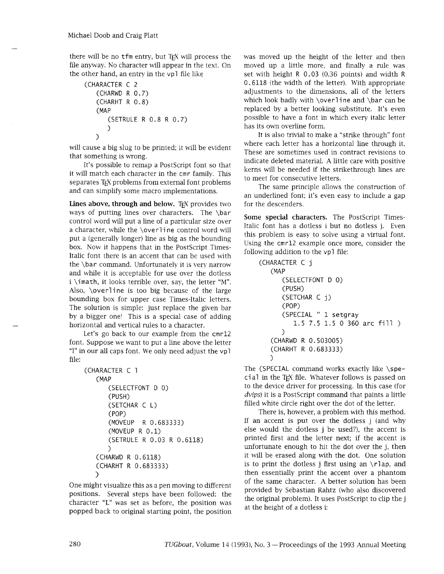there will be no tfm entry, but TEX will process the file anyway. No character will appear in the text. On the other hand, an entry in the vpl file like

```
(CHARACTER C 2 
 (CHARWD R 0.7) 
 (CHARHT R 0.8) 
 (MAP 
     (SETRULE R 0.8 R 0.7) 
    \lambda\mathcal{L}
```
will cause a big slug to be printed; it will be evident that something is wrong.

It's possible to remap a Postscript font so that it will match each character in the cmr family. This separates TFX problems from external font problems and can simplify some macro implementations.

Lines above, through and below. TEX provides two ways of putting lines over characters. The \bar control word will put a line of a particular size over a character, while the \over1ine control word will put a (generally longer) line as big as the bounding box. Now it happens that in the PostScript Times-Italic font there is an accent that can be used with the \bar command. Unfortunately it is very narrow and while it is acceptable for use over the dotless i \imath, it looks terrible over, say, the letter "M". Also, \overline is too big because of the large bounding box for upper case Times-Italic letters. The solution is simple: just replace the given bar by a bigger one! This is a special case of adding horizontal and vertical rules to a character.

Let's go back to our example from the cmrl2 font. Suppose we want to put a line above the letter "1" in our all caps font. We only need adjust the vpl file:

```
(CHARACTER C 1 
(MAP 
    (SELECTFONT D 0) 
    (PUSH) 
    (SETCHAR C L) 
    (POP) 
    (MOVEUP R 0.683333) 
    (MOVEUP R 0.1) 
    (SETRULE R 0.03 R 0.6118) 
    \lambda(CHARWD R 0.6118) 
(CHARHT R 0.683333) 
\lambda
```
One might visualize this as a pen moving to different positions. Several steps have been followed: the character **"L"** was set as before, the position was popped back to original starting point, the position was moved up the height of the letter and then moved up a little more, and finally a rule was set with height R 0.03 (0.36 points) and width R 0.6118 (the width of the letter). With appropriate adjustments to the dimensions, all of the letters which look badly with \overline and \bar can be replaced by a better looking substitute. It's even possible to have a font in which every italic letter has its own overline form.

It is also trivial to make a "strike through" font where each letter has a horizontal line through it. These are sometimes used in contract revisions to indicate deleted material. A little care with positive kerns will be needed if the strikethrough lines are to meet for consecutive letters.

The same principle allows the construction of an underlined font; it's even easy to include a gap for the descenders.

Some special characters. The PostScript Times-Italic font has a dotless i but no dotless j. Even this problem is easy to solve using a virtual font. Using the cmrl2 example once more, consider the following addition to the vpl file:

```
(CHARACTER C j 
(MAP 
    (SELECTFONT D 0)
   (PUSH) 
   (SETCHAR C j) 
   (POP) 
   (SPECIAL " 1 setgray 
       1.5 7.5 1.5 0 360 arc fill ) 
   \lambda(CHARWD R 0.503005) 
(CHARHT R 0.683333) 
\lambda
```
The (SPECIAL command works exactly like \speci a1 in the TEX file. Whatever follows is passed on to the device driver for processing. In this case (for **dvips)** it is a PostScript command that paints a little filled white circle right over the dot of the letter.

There is, however, a problem with this method. If an accent is put over the dotless j (and why else would the dotless j be used?), the accent is printed first and the letter next; if the accent is unfortunate enough to hit the dot over the j, then it will be erased along with the dot. One solution is to print the dotless j first using an  $\lceil \cdot \rceil$  ap, and then essentially print the accent over a phantom of the same character. A better solution has been provided by Sebastian Rahtz (who also discovered the original problem). It uses PostScript to clip the j at the height of a dotless i: